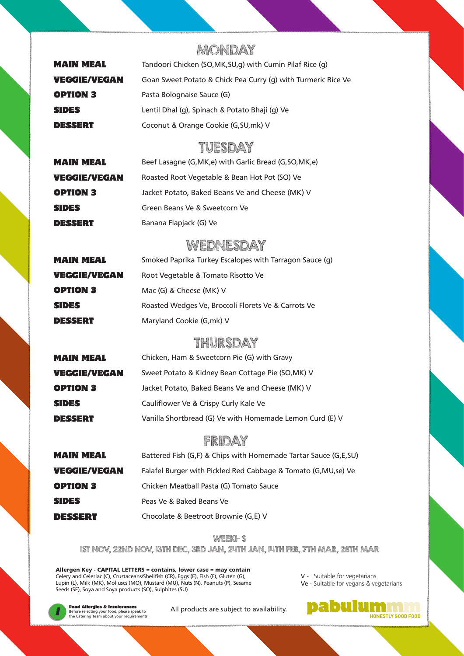# MONDAY

| <b>MAIN MEAL</b>    | Tandoori Chicken (SO,MK, SU, q) with Cumin Pilaf Rice (q)     |
|---------------------|---------------------------------------------------------------|
| <b>VEGGIE/VEGAN</b> | Goan Sweet Potato & Chick Pea Curry (g) with Turmeric Rice Ve |
| <b>OPTION 3</b>     | Pasta Bolognaise Sauce (G)                                    |
| <b>SIDES</b>        | Lentil Dhal (g), Spinach & Potato Bhaji (g) Ve                |
| <b>DESSERT</b>      | Coconut & Orange Cookie (G, SU, mk) V                         |

#### TUESDAY

| <b>MAIN MEAL</b>    | Beef Lasagne (G, MK, e) with Garlic Bread (G, SO, MK, e) |
|---------------------|----------------------------------------------------------|
| <b>VEGGIE/VEGAN</b> | Roasted Root Vegetable & Bean Hot Pot (SO) Ve            |
| <b>OPTION 3</b>     | Jacket Potato, Baked Beans Ve and Cheese (MK) V          |
| <b>SIDES</b>        | Green Beans Ve & Sweetcorn Ve                            |
| DESERT              | Banana Flapjack (G) Ve                                   |

### **WEDNESDAY**

| <b>MAIN MEAL</b>    | Smoked Paprika Turkey Escalopes with Tarragon Sauce (g) |
|---------------------|---------------------------------------------------------|
| <b>VEGGIE/VEGAN</b> | Root Vegetable & Tomato Risotto Ve                      |
| <b>OPTION 3</b>     | Mac (G) & Cheese (MK) V                                 |
| <b>SIDES</b>        | Roasted Wedges Ve, Broccoli Florets Ve & Carrots Ve     |
| <b>DESSERT</b>      | Maryland Cookie (G, mk) V                               |

# THURSDAY

| <b>MAIN MEAL</b>    | Chicken, Ham & Sweetcorn Pie (G) with Gravy              |
|---------------------|----------------------------------------------------------|
| <b>VEGGIE/VEGAN</b> | Sweet Potato & Kidney Bean Cottage Pie (SO, MK) V        |
| <b>OPTION 3</b>     | Jacket Potato, Baked Beans Ve and Cheese (MK) V          |
| <b>SIDES</b>        | Cauliflower Ve & Crispy Curly Kale Ve                    |
| DESSERT             | Vanilla Shortbread (G) Ve with Homemade Lemon Curd (E) V |

### FRIDAY

| <b>MAIN MEAL</b>    | Battered Fish (G,F) & Chips with Homemade Tartar Sauce (G,E,SU) |
|---------------------|-----------------------------------------------------------------|
| <b>VEGGIE/VEGAN</b> | Falafel Burger with Pickled Red Cabbage & Tomato (G, MU, se) Ve |
| <b>OPTION 3</b>     | Chicken Meatball Pasta (G) Tomato Sauce                         |
| <b>SIDES</b>        | Peas Ve & Baked Beans Ve                                        |
| <b>DESSERT</b>      | Chocolate & Beetroot Brownie (G,E) V                            |

#### WEEKI- S

1ST NOV, 22ND NOV, 13TH DEC, 3RD JAN, 24TH JAN, 14TH FEB, 7TH MAR, 28TH MAR

Allergen Key - CAPITAL LETTERS = contains, lower case = may contain Celery and Celeriac (C), Crustaceans/Shellfish (CR), Eggs (E), Fish (F), Gluten (G), Lupin (L), Milk (MK), Molluscs (MO), Mustard (MU), Nuts (N), Peanuts (P), Sesame Seeds (SE), Soya and Soya products (SO), Sulphites (SU)

V - Suitable for vegetarians Ve - Suitable for vegans & vegetarians



Before selecting your food, please speak to the Catering Team about your requirements.

**Food Allergies & Intolerances** All products are subject to availability.

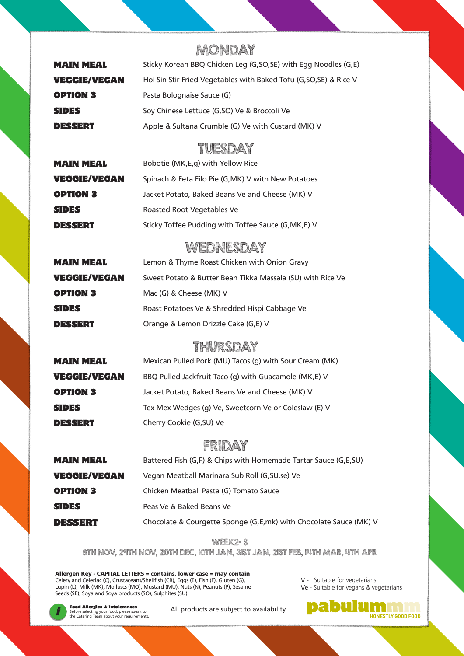# MONDAY

| <b>MAIN MEAL</b>    | Sticky Korean BBQ Chicken Leg (G, SO, SE) with Egg Noodles (G, E)  |
|---------------------|--------------------------------------------------------------------|
| <b>VEGGIE/VEGAN</b> | Hoi Sin Stir Fried Vegetables with Baked Tofu (G, SO, SE) & Rice V |
| <b>OPTION 3</b>     | Pasta Bolognaise Sauce (G)                                         |
| <b>SIDES</b>        | Soy Chinese Lettuce (G,SO) Ve & Broccoli Ve                        |
| <b>DESSERT</b>      | Apple & Sultana Crumble (G) Ve with Custard (MK) V                 |

#### TUESDAY

| <b>MAIN MEAL</b>    | Bobotie (MK, E, g) with Yellow Rice                  |
|---------------------|------------------------------------------------------|
| <b>VEGGIE/VEGAN</b> | Spinach & Feta Filo Pie (G, MK) V with New Potatoes  |
| <b>OPTION 3</b>     | Jacket Potato, Baked Beans Ve and Cheese (MK) V      |
| <b>SIDES</b>        | Roasted Root Vegetables Ve                           |
| <b>DESSERT</b>      | Sticky Toffee Pudding with Toffee Sauce (G, MK, E) V |

# **WEDNESDAY**

| <b>MAIN MEAL</b> | Lemon & Thyme Roast Chicken with Onion Gravy               |
|------------------|------------------------------------------------------------|
| VEGGIE/VEGAN     | Sweet Potato & Butter Bean Tikka Massala (SU) with Rice Ve |
| <b>OPTION 3</b>  | Mac (G) & Cheese (MK) V                                    |
| <b>SIDES</b>     | Roast Potatoes Ve & Shredded Hispi Cabbage Ve              |
| DESSERT          | Orange & Lemon Drizzle Cake (G,E) V                        |

#### THURSDAY

| <b>MAIN MEAL</b>    | Mexican Pulled Pork (MU) Tacos (g) with Sour Cream (MK) |
|---------------------|---------------------------------------------------------|
| <b>VEGGIE/VEGAN</b> | BBQ Pulled Jackfruit Taco (g) with Guacamole (MK,E) V   |
| <b>OPTION 3</b>     | Jacket Potato, Baked Beans Ve and Cheese (MK) V         |
| <b>SIDES</b>        | Tex Mex Wedges (g) Ve, Sweetcorn Ve or Coleslaw (E) V   |
| <b>DESSERT</b>      | Cherry Cookie (G, SU) Ve                                |

### FRIDAY

| <b>MAIN MEAL</b>    | Battered Fish (G,F) & Chips with Homemade Tartar Sauce (G,E,SU)   |
|---------------------|-------------------------------------------------------------------|
| <b>VEGGIE/VEGAN</b> | Vegan Meatball Marinara Sub Roll (G, SU, se) Ve                   |
| <b>OPTION 3</b>     | Chicken Meatball Pasta (G) Tomato Sauce                           |
| <b>SIDES</b>        | Peas Ve & Baked Beans Ve                                          |
| DESSERT             | Chocolate & Courgette Sponge (G,E,mk) with Chocolate Sauce (MK) V |

#### WEEK2- S

8TH NOV, 29TH NOV, 20TH DEC, 10TH JAN, 31ST JAN, 21ST FEB, 14TH MAR, 4TH APR

Allergen Key - CAPITAL LETTERS = contains, lower case = may contain Celery and Celeriac (C), Crustaceans/Shellfish (CR), Eggs (E), Fish (F), Gluten (G), Lupin (L), Milk (MK), Molluscs (MO), Mustard (MU), Nuts (N), Peanuts (P), Sesame Seeds (SE), Soya and Soya products (SO), Sulphites (SU)

V - Suitable for vegetarians Ve - Suitable for vegans & vegetarians



Before selecting your food, please speak to the Catering Team about your requirements.

**Food Allergies & Intolerances** All products are subject to availability.